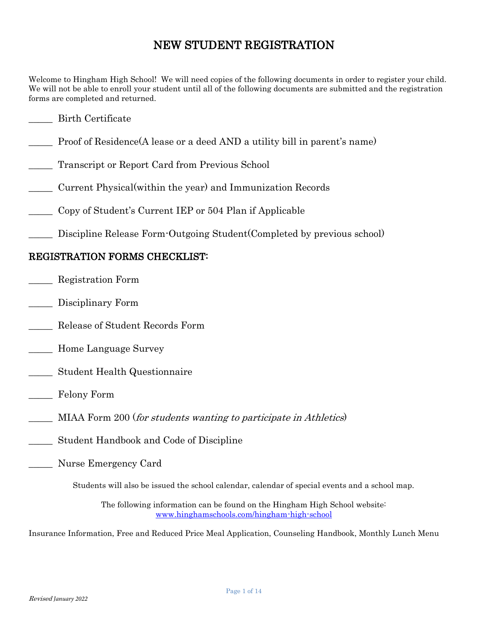## NEW STUDENT REGISTRATION

Welcome to Hingham High School! We will need copies of the following documents in order to register your child. We will not be able to enroll your student until all of the following documents are submitted and the registration forms are completed and returned.

### \_\_\_\_\_ Birth Certificate

- Proof of Residence(A lease or a deed AND a utility bill in parent's name)
- Transcript or Report Card from Previous School
- \_\_\_\_\_ Current Physical(within the year) and Immunization Records
- \_\_\_\_\_ Copy of Student's Current IEP or 504 Plan if Applicable
- Discipline Release Form-Outgoing Student(Completed by previous school)

### REGISTRATION FORMS CHECKLIST:

- \_\_\_\_\_ Registration Form
- Disciplinary Form
- \_\_\_\_\_ Release of Student Records Form
- \_\_\_\_\_ Home Language Survey
- \_\_\_\_\_ Student Health Questionnaire
- \_\_\_\_\_ Felony Form
- MIAA Form 200 (for students wanting to participate in Athletics)
- \_\_\_\_\_ Student Handbook and Code of Discipline
- \_\_\_\_\_ Nurse Emergency Card

Students will also be issued the school calendar, calendar of special events and a school map.

The following information can be found on the Hingham High School website: [www.hinghamschools.com/hingham-high-school](http://www.hinghamschools.com/hingham-high-school)

Insurance Information, Free and Reduced Price Meal Application, Counseling Handbook, Monthly Lunch Menu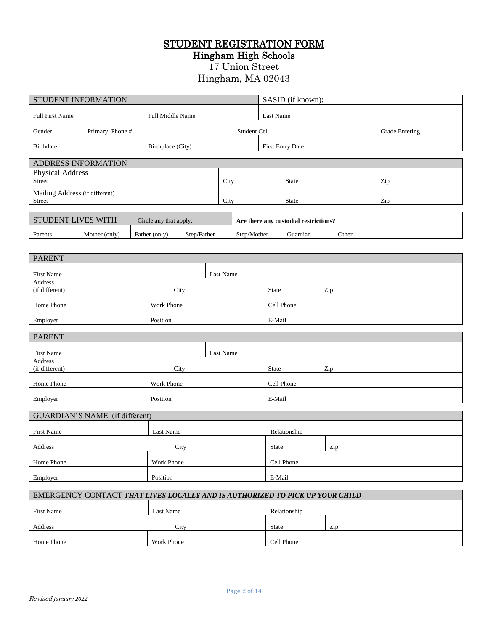# STUDENT REGISTRATION FORM

Hingham High Schools

17 Union Street

### Hingham, MA 02043

| STUDENT INFORMATION                                                          |                        |             |            | SASID (if known): |                         |                                       |       |     |
|------------------------------------------------------------------------------|------------------------|-------------|------------|-------------------|-------------------------|---------------------------------------|-------|-----|
| Full First Name                                                              | Full Middle Name       |             |            |                   | Last Name               |                                       |       |     |
| Primary Phone#<br>Gender                                                     |                        |             |            |                   | Student Cell            | <b>Grade Entering</b>                 |       |     |
| <b>Birthdate</b>                                                             | Birthplace (City)      |             |            |                   |                         | <b>First Entry Date</b>               |       |     |
| <b>ADDRESS INFORMATION</b>                                                   |                        |             |            |                   |                         |                                       |       |     |
| Physical Address                                                             |                        |             |            |                   |                         |                                       |       |     |
| Street<br>Mailing Address (if different)                                     |                        |             | City       |                   |                         | State                                 |       | Zip |
| Street                                                                       |                        |             | City       |                   |                         | <b>State</b>                          |       | Zip |
| <b>STUDENT LIVES WITH</b>                                                    | Circle any that apply: |             |            |                   |                         | Are there any custodial restrictions? |       |     |
| Mother (only)<br>Parents                                                     | Father (only)          | Step/Father |            | Step/Mother       |                         | Guardian                              | Other |     |
|                                                                              |                        |             |            |                   |                         |                                       |       |     |
| <b>PARENT</b>                                                                |                        |             |            |                   |                         |                                       |       |     |
| First Name                                                                   |                        |             | Last Name  |                   |                         |                                       |       |     |
| <b>Address</b><br>(if different)                                             | City                   |             |            |                   | State                   |                                       | Zip   |     |
| Home Phone                                                                   | Work Phone             |             | Cell Phone |                   |                         |                                       |       |     |
| Employer                                                                     | Position               |             | E-Mail     |                   |                         |                                       |       |     |
| <b>PARENT</b>                                                                |                        |             |            |                   |                         |                                       |       |     |
| First Name                                                                   |                        |             | Last Name  |                   |                         |                                       |       |     |
| Address<br>(if different)                                                    | City                   |             |            |                   | State                   |                                       | Zip   |     |
| Home Phone                                                                   | Work Phone             |             |            |                   |                         | Cell Phone                            |       |     |
|                                                                              |                        |             | E-Mail     |                   |                         |                                       |       |     |
| Employer                                                                     | Position               |             |            |                   |                         |                                       |       |     |
| GUARDIAN'S NAME (if different)                                               |                        |             |            |                   |                         |                                       |       |     |
| First Name                                                                   | Last Name              |             |            |                   |                         | Relationship                          |       |     |
| Address                                                                      | City                   |             |            |                   | State                   |                                       | Zip   |     |
| Home Phone                                                                   | Work Phone             |             |            | Cell Phone        |                         |                                       |       |     |
| Position<br>Employer                                                         |                        |             |            |                   | $\operatorname{E-Mail}$ |                                       |       |     |
| EMERGENCY CONTACT THAT LIVES LOCALLY AND IS AUTHORIZED TO PICK UP YOUR CHILD |                        |             |            |                   |                         |                                       |       |     |
| First Name                                                                   | Last Name              |             |            |                   |                         | Relationship                          |       |     |
|                                                                              |                        |             |            |                   | State                   |                                       | Zip   |     |
| Address<br>City<br>Work Phone<br>Home Phone                                  |                        |             |            |                   | Cell Phone              |                                       |       |     |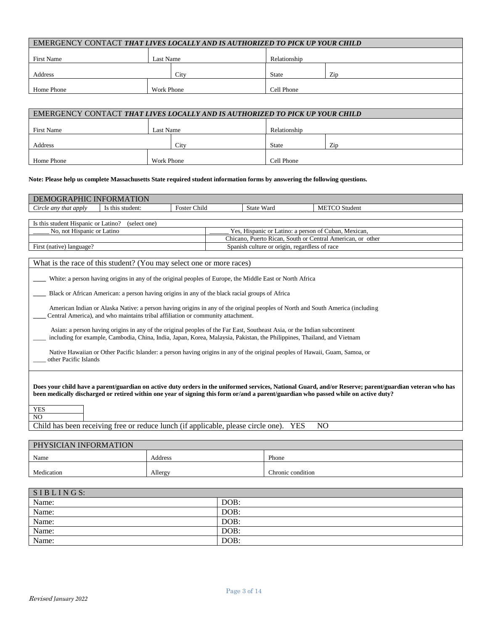| EMERGENCY CONTACT THAT LIVES LOCALLY AND IS AUTHORIZED TO PICK UP YOUR CHILD |            |      |              |     |  |
|------------------------------------------------------------------------------|------------|------|--------------|-----|--|
| <b>First Name</b>                                                            | Last Name  |      | Relationship |     |  |
| Address                                                                      |            | City | <b>State</b> | Zip |  |
| Home Phone                                                                   | Work Phone |      | Cell Phone   |     |  |
|                                                                              |            |      |              |     |  |

| EMERGENCY CONTACT THAT LIVES LOCALLY AND IS AUTHORIZED TO PICK UP YOUR CHILD |            |      |              |     |  |
|------------------------------------------------------------------------------|------------|------|--------------|-----|--|
| First Name                                                                   | Last Name  |      | Relationship |     |  |
| Address                                                                      |            | City | <b>State</b> | Zip |  |
| Home Phone                                                                   | Work Phone |      | Cell Phone   |     |  |

#### **Note: Please help us complete Massachusetts State required student information forms by answering the following questions.**

| <b>WGRAPHIC</b><br>M                           | <b>TION</b><br><b>INFORMA</b> |                                      |               |                      |
|------------------------------------------------|-------------------------------|--------------------------------------|---------------|----------------------|
| $\sim$<br>Circle any<br>that apply <i>that</i> | student:<br>this<br>1S.       | $\sim$<br>$-$<br><b>Foster Child</b> | Wara<br>State | <b>METCO</b> Student |
|                                                |                               |                                      |               |                      |

| Is this student Hispanic or Latino?<br>(select one) |                                                            |
|-----------------------------------------------------|------------------------------------------------------------|
| No. not Hispanic or Latino                          | Yes. Hispanic or Latino: a person of Cuban. Mexican.       |
|                                                     | Chicano, Puerto Rican, South or Central American, or other |
| First (native) language?                            | Spanish culture or origin, regardless of race              |

#### What is the race of this student? (You may select one or more races)

**\_\_\_\_** White: a person having origins in any of the original peoples of Europe, the Middle East or North Africa

**\_\_\_\_** Black or African American: a person having origins in any of the black racial groups of Africa

 American Indian or Alaska Native: a person having origins in any of the original peoples of North and South America (including **\_\_\_\_** Central America), and who maintains tribal affiliation or community attachment.

 Asian: a person having origins in any of the original peoples of the Far East, Southeast Asia, or the Indian subcontinent \_\_\_\_ including for example, Cambodia, China, India, Japan, Korea, Malaysia, Pakistan, the Philippines, Thailand, and Vietnam

 Native Hawaiian or Other Pacific Islander: a person having origins in any of the original peoples of Hawaii, Guam, Samoa, or other Pacific Islands

**Does your child have a parent/guardian on active duty orders in the uniformed services, National Guard, and/or Reserve; parent/guardian veteran who has been medically discharged or retired within one year of signing this form or/and a parent/guardian who passed while on active duty?** 

| <b>A</b> 2<br>n a |  |
|-------------------|--|
|                   |  |

Child has been receiving free or reduce lunch (if applicable, please circle one). YES NO

| PHYSICIAN INFORMATION |         |                   |
|-----------------------|---------|-------------------|
| Name                  | Address | Phone             |
| Medication            | Allergy | Chronic condition |

| SIBLINGS: |      |
|-----------|------|
| Name:     | DOB: |
| Name:     | DOB: |
| Name:     | DOB: |
| Name:     | DOB: |
| Name:     | DOB: |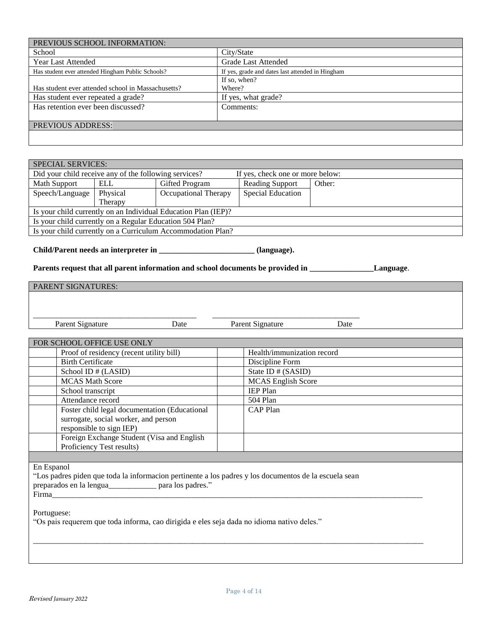| PREVIOUS SCHOOL INFORMATION:                                   |                                                                           |                             |                            |                                                  |                                                                                                                   |  |  |
|----------------------------------------------------------------|---------------------------------------------------------------------------|-----------------------------|----------------------------|--------------------------------------------------|-------------------------------------------------------------------------------------------------------------------|--|--|
| School                                                         |                                                                           |                             | City/State                 |                                                  |                                                                                                                   |  |  |
| <b>Year Last Attended</b>                                      |                                                                           |                             |                            | <b>Grade Last Attended</b>                       |                                                                                                                   |  |  |
|                                                                | Has student ever attended Hingham Public Schools?                         |                             |                            | If yes, grade and dates last attended in Hingham |                                                                                                                   |  |  |
|                                                                |                                                                           |                             |                            | If so, when?                                     |                                                                                                                   |  |  |
|                                                                | Has student ever attended school in Massachusetts?                        |                             | Where?                     |                                                  |                                                                                                                   |  |  |
| Has student ever repeated a grade?                             |                                                                           |                             |                            | If yes, what grade?                              |                                                                                                                   |  |  |
| Has retention ever been discussed?                             |                                                                           |                             |                            | Comments:                                        |                                                                                                                   |  |  |
| PREVIOUS ADDRESS:                                              |                                                                           |                             |                            |                                                  |                                                                                                                   |  |  |
|                                                                |                                                                           |                             |                            |                                                  |                                                                                                                   |  |  |
|                                                                |                                                                           |                             |                            |                                                  |                                                                                                                   |  |  |
|                                                                |                                                                           |                             |                            |                                                  |                                                                                                                   |  |  |
| <b>SPECIAL SERVICES:</b>                                       |                                                                           |                             |                            |                                                  |                                                                                                                   |  |  |
| Did your child receive any of the following services?          |                                                                           |                             |                            | If yes, check one or more below:                 |                                                                                                                   |  |  |
| Math Support                                                   | <b>ELL</b>                                                                | Gifted Program              |                            | Reading Support                                  | Other:                                                                                                            |  |  |
| Speech/Language                                                | Physical                                                                  | <b>Occupational Therapy</b> |                            | <b>Special Education</b>                         |                                                                                                                   |  |  |
|                                                                | Therapy                                                                   |                             |                            |                                                  |                                                                                                                   |  |  |
| Is your child currently on an Individual Education Plan (IEP)? |                                                                           |                             |                            |                                                  |                                                                                                                   |  |  |
| Is your child currently on a Regular Education 504 Plan?       |                                                                           |                             |                            |                                                  |                                                                                                                   |  |  |
| Is your child currently on a Curriculum Accommodation Plan?    |                                                                           |                             |                            |                                                  |                                                                                                                   |  |  |
|                                                                | Child/Parent needs an interpreter in _________________________(language). |                             |                            |                                                  |                                                                                                                   |  |  |
|                                                                |                                                                           |                             |                            |                                                  | Parents request that all parent information and school documents be provided in ________________________Language. |  |  |
| PARENT SIGNATURES:                                             |                                                                           |                             |                            |                                                  |                                                                                                                   |  |  |
|                                                                |                                                                           |                             |                            |                                                  |                                                                                                                   |  |  |
|                                                                |                                                                           |                             |                            |                                                  |                                                                                                                   |  |  |
|                                                                |                                                                           |                             |                            |                                                  |                                                                                                                   |  |  |
| Parent Signature                                               |                                                                           | Date                        |                            | Parent Signature                                 | Date                                                                                                              |  |  |
|                                                                |                                                                           |                             |                            |                                                  |                                                                                                                   |  |  |
| FOR SCHOOL OFFICE USE ONLY                                     |                                                                           |                             |                            |                                                  |                                                                                                                   |  |  |
| Proof of residency (recent utility bill)                       |                                                                           |                             | Health/immunization record |                                                  |                                                                                                                   |  |  |
| <b>Birth Certificate</b>                                       |                                                                           |                             | Discipline Form            |                                                  |                                                                                                                   |  |  |
|                                                                | School ID # (LASID)                                                       |                             |                            | State ID # (SASID)                               |                                                                                                                   |  |  |
| <b>MCAS Math Score</b>                                         |                                                                           |                             |                            | <b>MCAS</b> English Score                        |                                                                                                                   |  |  |
| School transcript                                              |                                                                           |                             | <b>IEP Plan</b>            |                                                  |                                                                                                                   |  |  |
| Attendance record                                              |                                                                           |                             | 504 Plan                   |                                                  |                                                                                                                   |  |  |
|                                                                | Foster child legal documentation (Educational                             |                             |                            | CAP Plan                                         |                                                                                                                   |  |  |

Portuguese: "Os pais requerem que toda informa, cao dirigida e eles seja dada no idioma nativo deles."

"Los padres piden que toda la informacion pertinente a los padres y los documentos de la escuela sean

Firma\_\_\_\_\_\_\_\_\_\_\_\_\_\_\_\_\_\_\_\_\_\_\_\_\_\_\_\_\_\_\_\_\_\_\_\_\_\_\_\_\_\_\_\_\_\_\_\_\_\_\_\_\_\_\_\_\_\_\_\_\_\_\_\_\_\_\_\_\_\_\_\_\_\_\_\_\_\_\_\_\_\_\_\_\_\_\_\_\_\_\_\_\_

 $\overline{a_1}$  ,  $\overline{a_2}$  ,  $\overline{a_3}$  ,  $\overline{a_4}$  ,  $\overline{a_5}$  ,  $\overline{a_6}$  ,  $\overline{a_7}$  ,  $\overline{a_8}$  ,  $\overline{a_9}$  ,  $\overline{a_9}$  ,  $\overline{a_9}$  ,  $\overline{a_9}$  ,  $\overline{a_9}$  ,  $\overline{a_9}$  ,  $\overline{a_9}$  ,  $\overline{a_9}$  ,  $\overline{a_9}$  ,

surrogate, social worker, and person

preparados en la lengua\_\_\_\_\_\_\_\_\_\_\_\_ para los padres."

Foreign Exchange Student (Visa and English

responsible to sign IEP)

Proficiency Test results)

En Espanol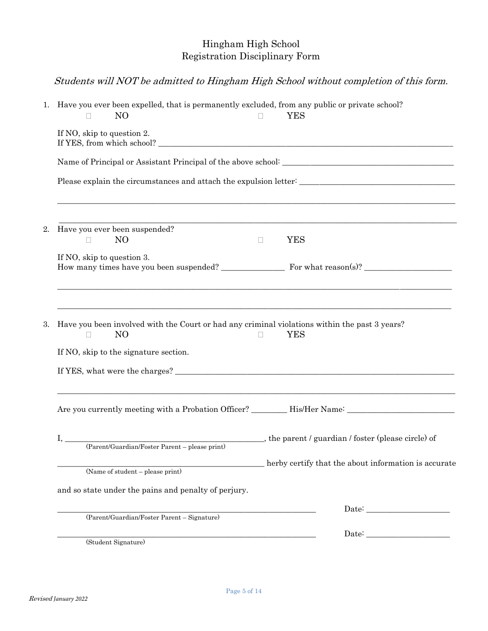## Hingham High School Registration Disciplinary Form

## Students will NOT be admitted to Hingham High School without completion of this form.

|    | 1. Have you ever been expelled, that is permanently excluded, from any public or private school?<br>N <sub>O</sub><br>$\Box$ | $\Box$ | <b>YES</b>                                                                                                            |
|----|------------------------------------------------------------------------------------------------------------------------------|--------|-----------------------------------------------------------------------------------------------------------------------|
|    | If NO, skip to question 2.                                                                                                   |        |                                                                                                                       |
|    |                                                                                                                              |        |                                                                                                                       |
|    | ,我们就是一个人的人,我们就是一个人的人,我们就是一个人的人,我们就是一个人的人,我们就是一个人的人,我们就是一个人的人,我们就是一个人的人,我们就是一个人的人                                             |        |                                                                                                                       |
| 2. | Have you ever been suspended?                                                                                                |        | <u> 1989 - Johann Stoff, deutscher Stoff, der Stoff, der Stoff, der Stoff, der Stoff, der Stoff, der Stoff, der S</u> |
|    | N <sub>O</sub><br>$\Box$                                                                                                     | $\Box$ | <b>YES</b>                                                                                                            |
|    | If NO, skip to question 3.<br>How many times have you been suspended? For what reason(s)? _____________________              |        |                                                                                                                       |
|    | N <sub>O</sub><br>If NO, skip to the signature section.                                                                      | П      | YES                                                                                                                   |
|    | Are you currently meeting with a Probation Officer? __________His/Her Name: __________________________________               |        |                                                                                                                       |
|    |                                                                                                                              |        |                                                                                                                       |
|    | (Name of student $-\overline{\text{please print}}$ )                                                                         |        | herby certify that the about information is accurate                                                                  |
|    | and so state under the pains and penalty of perjury.                                                                         |        |                                                                                                                       |
|    |                                                                                                                              |        |                                                                                                                       |
|    | (Parent/Guardian/Foster Parent - Signature)                                                                                  |        |                                                                                                                       |
|    | (Student Signature)                                                                                                          |        | ${\rm Date:} \begin{tabular}{ c c c } \hline \quad \quad & \quad \quad & \quad \quad \\ \hline \end{tabular}$         |
|    |                                                                                                                              |        |                                                                                                                       |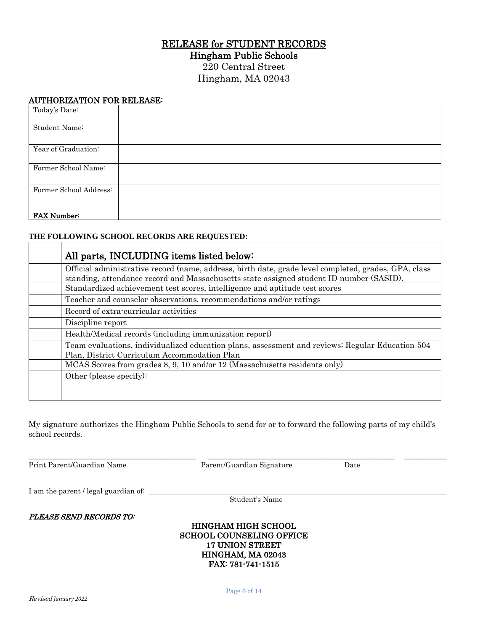### RELEASE for STUDENT RECORDS

Hingham Public Schools

220 Central Street Hingham, MA 02043

#### AUTHORIZATION FOR RELEASE:

| Today's Date:          |  |
|------------------------|--|
| Student Name:          |  |
| Year of Graduation:    |  |
| Former School Name:    |  |
| Former School Address: |  |
| <b>FAX Number:</b>     |  |

#### **THE FOLLOWING SCHOOL RECORDS ARE REQUESTED:**

| All parts, INCLUDING items listed below:                                                                                                                                                        |
|-------------------------------------------------------------------------------------------------------------------------------------------------------------------------------------------------|
| Official administrative record (name, address, birth date, grade level completed, grades, GPA, class<br>standing, attendance record and Massachusetts state assigned student ID number (SASID). |
| Standardized achievement test scores, intelligence and aptitude test scores                                                                                                                     |
| Teacher and counselor observations, recommendations and/or ratings                                                                                                                              |
| Record of extra-curricular activities                                                                                                                                                           |
| Discipline report                                                                                                                                                                               |
| Health/Medical records (including immunization report)                                                                                                                                          |
| Team evaluations, individualized education plans, assessment and reviews; Regular Education 504<br>Plan, District Curriculum Accommodation Plan                                                 |
| MCAS Scores from grades 8, 9, 10 and/or 12 (Massachusetts residents only)                                                                                                                       |
| Other (please specify):                                                                                                                                                                         |
|                                                                                                                                                                                                 |

My signature authorizes the Hingham Public Schools to send for or to forward the following parts of my child's school records.

Print Parent/Guardian Name Parent/Guardian Signature Date

\_\_\_\_\_\_\_\_\_\_\_\_\_\_\_\_\_\_\_\_\_\_\_\_\_\_\_\_\_\_\_\_\_\_\_ \_\_\_\_\_\_\_\_\_\_\_\_\_\_\_\_\_\_\_\_\_\_\_\_\_\_\_\_\_\_\_\_\_\_\_\_\_\_\_ \_\_\_\_\_\_\_\_\_

I am the parent / legal guardian of: \_\_\_\_\_\_\_\_\_\_\_\_\_\_\_\_\_\_\_\_\_\_\_\_\_\_\_\_\_\_\_\_\_\_\_\_\_\_\_\_\_\_\_\_\_\_\_\_\_\_\_\_\_\_\_\_\_\_\_\_\_\_\_\_\_\_\_\_\_\_\_\_\_\_\_\_\_\_\_\_\_\_\_

Student's Name

PLEASE SEND RECORDS TO:

#### HINGHAM HIGH SCHOOL SCHOOL COUNSELING OFFICE 17 UNION STREET HINGHAM, MA 02043 FAX: 781-741-1515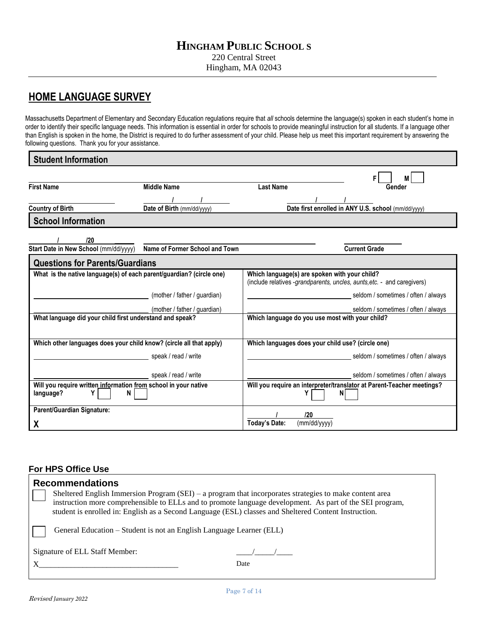## **HOME LANGUAGE SURVEY**

Massachusetts Department of Elementary and Secondary Education regulations require that *all* schools determine the language(s) spoken in each student's home in order to identify their specific language needs. This information is essential in order for schools to provide meaningful instruction for all students. If a language other than English is spoken in the home, the District is required to do further assessment of your child. Please help us meet this important requirement by answering the following questions. Thank you for your assistance.

| <b>Student Information</b>                                                             |                                |                                                                                                                          |
|----------------------------------------------------------------------------------------|--------------------------------|--------------------------------------------------------------------------------------------------------------------------|
|                                                                                        |                                | F                                                                                                                        |
| <b>First Name</b>                                                                      | <b>Middle Name</b>             | <b>Last Name</b><br>Gender                                                                                               |
|                                                                                        |                                |                                                                                                                          |
| <b>Country of Birth</b>                                                                | Date of Birth (mm/dd/yyyy)     | Date first enrolled in ANY U.S. school (mm/dd/yyyy)                                                                      |
| <b>School Information</b>                                                              |                                |                                                                                                                          |
| 120                                                                                    |                                |                                                                                                                          |
| Start Date in New School (mm/dd/yyyy)                                                  | Name of Former School and Town | <b>Current Grade</b>                                                                                                     |
| <b>Questions for Parents/Guardians</b>                                                 |                                |                                                                                                                          |
| What is the native language(s) of each parent/guardian? (circle one)                   |                                | Which language(s) are spoken with your child?<br>(include relatives -grandparents, uncles, aunts, etc. - and caregivers) |
|                                                                                        | (mother / father / guardian)   | seldom / sometimes / often / always                                                                                      |
|                                                                                        | (mother / father / guardian)   | seldom / sometimes / often / always                                                                                      |
| What language did your child first understand and speak?                               |                                | Which language do you use most with your child?                                                                          |
| Which other languages does your child know? (circle all that apply)                    |                                | Which languages does your child use? (circle one)                                                                        |
|                                                                                        | speak / read / write           | seldom / sometimes / often / always                                                                                      |
|                                                                                        | speak / read / write           | seldom / sometimes / often / always                                                                                      |
| Will you require written information from school in your native<br>language?<br>Y<br>N |                                | Will you require an interpreter/translator at Parent-Teacher meetings?<br>ΝI                                             |
| Parent/Guardian Signature:                                                             |                                | 120                                                                                                                      |
| χ                                                                                      |                                | <b>Today's Date:</b><br>(mm/dd/yyyy)                                                                                     |

#### **For HPS Office Use**

| <b>Recommendations</b><br>Sheltered English Immersion Program (SEI) – a program that incorporates strategies to make content area<br>instruction more comprehensible to ELLs and to promote language development. As part of the SEI program,<br>student is enrolled in: English as a Second Language (ESL) classes and Sheltered Content Instruction. |      |  |  |  |
|--------------------------------------------------------------------------------------------------------------------------------------------------------------------------------------------------------------------------------------------------------------------------------------------------------------------------------------------------------|------|--|--|--|
| General Education – Student is not an English Language Learner (ELL)                                                                                                                                                                                                                                                                                   |      |  |  |  |
| Signature of ELL Staff Member:                                                                                                                                                                                                                                                                                                                         | Date |  |  |  |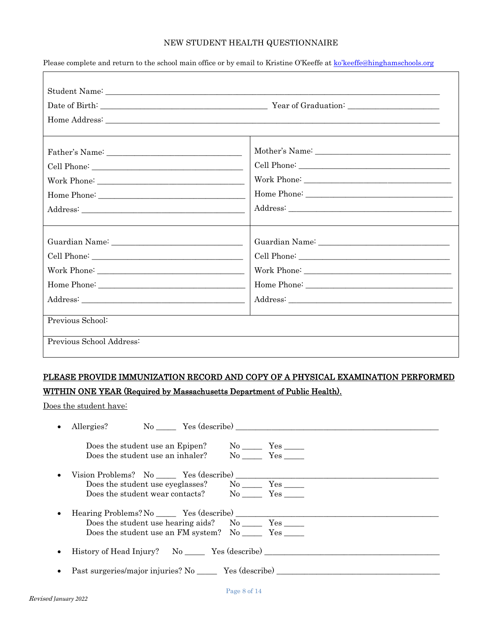#### NEW STUDENT HEALTH QUESTIONNAIRE

|                  | Guardian Name: 1990 Manual Manual Manual Manual Manual Manual Manual Manual Manual Manual Manual Manual Manual                                                                                                                                                                                                                                                                                                                                                                                                                                      |  |
|------------------|-----------------------------------------------------------------------------------------------------------------------------------------------------------------------------------------------------------------------------------------------------------------------------------------------------------------------------------------------------------------------------------------------------------------------------------------------------------------------------------------------------------------------------------------------------|--|
|                  |                                                                                                                                                                                                                                                                                                                                                                                                                                                                                                                                                     |  |
|                  |                                                                                                                                                                                                                                                                                                                                                                                                                                                                                                                                                     |  |
|                  |                                                                                                                                                                                                                                                                                                                                                                                                                                                                                                                                                     |  |
|                  | $\textit{Address:}\underline{\hspace{1.5cm}}\underline{\hspace{1.5cm}}\underline{\hspace{1.5cm}}\underline{\hspace{1.5cm}}\underline{\hspace{1.5cm}}\underline{\hspace{1.5cm}}\underline{\hspace{1.5cm}}\underline{\hspace{1.5cm}}\underline{\hspace{1.5cm}}\underline{\hspace{1.5cm}}\underline{\hspace{1.5cm}}\underline{\hspace{1.5cm}}\underline{\hspace{1.5cm}}\underline{\hspace{1.5cm}}\underline{\hspace{1.5cm}}\underline{\hspace{1.5cm}}\underline{\hspace{1.5cm}}\underline{\hspace{1.5cm}}\underline{\hspace{1.5cm}}\underline{\hspace$ |  |
|                  |                                                                                                                                                                                                                                                                                                                                                                                                                                                                                                                                                     |  |
| Previous School: |                                                                                                                                                                                                                                                                                                                                                                                                                                                                                                                                                     |  |

Please complete and return to the school main office or by email to Kristine O'Keeffe at ko'keeffe[@hinghamschools.org](mailto:pszyman@hinghamschools.org)

## PLEASE PROVIDE IMMUNIZATION RECORD AND COPY OF A PHYSICAL EXAMINATION PERFORMED WITHIN ONE YEAR (Required by Massachusetts Department of Public Health).

Does the student have:

|           | Allergies? No No Yes (describe)                                    |  |  |  |
|-----------|--------------------------------------------------------------------|--|--|--|
|           |                                                                    |  |  |  |
|           | Does the student use an inhaler? No Yes                            |  |  |  |
| $\bullet$ | Vision Problems? No $\frac{\ }{\ }$ Yes (describe) $\frac{\ }{\ }$ |  |  |  |
|           | Does the student use eyeglasses? No No Yes No                      |  |  |  |
|           |                                                                    |  |  |  |
| $\bullet$ | Hearing Problems? No Yes (describe)                                |  |  |  |
|           |                                                                    |  |  |  |
|           | Does the student use an FM system? No ________ Yes _______         |  |  |  |
| $\bullet$ | History of Head Injury? No Yes (describe)                          |  |  |  |
|           | • Past surgeries/major injuries? No $\frac{\ }$ Yes (describe)     |  |  |  |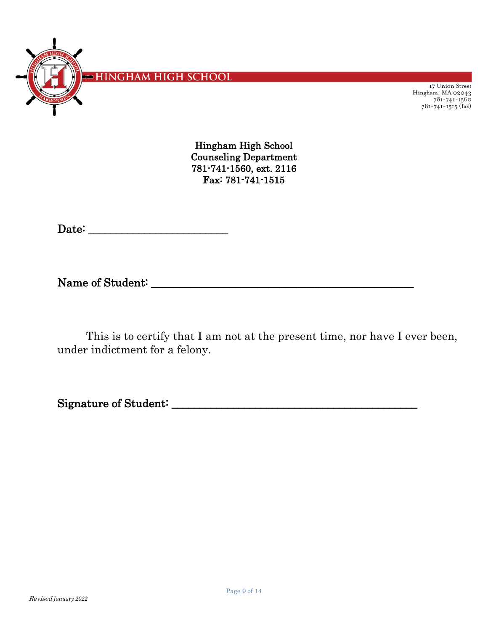

17 Union Street Hingham, MA 02043 781-741-1515<br>781-741-1515 (fax)

Hingham High School Counseling Department 781-741-1560, ext. 2116 Fax: 781-741-1515

Date: \_\_\_\_\_\_\_\_\_\_\_\_\_\_\_\_\_\_\_\_\_\_\_\_\_

Name of Student: \_\_\_\_\_\_\_\_\_\_\_\_\_\_\_\_\_\_\_\_\_\_\_\_\_\_\_\_\_\_\_\_\_\_\_\_\_\_\_\_\_\_\_\_\_\_\_

This is to certify that I am not at the present time, nor have I ever been, under indictment for a felony.

Signature of Student: \_\_\_\_\_\_\_\_\_\_\_\_\_\_\_\_\_\_\_\_\_\_\_\_\_\_\_\_\_\_\_\_\_\_\_\_\_\_\_\_\_\_\_\_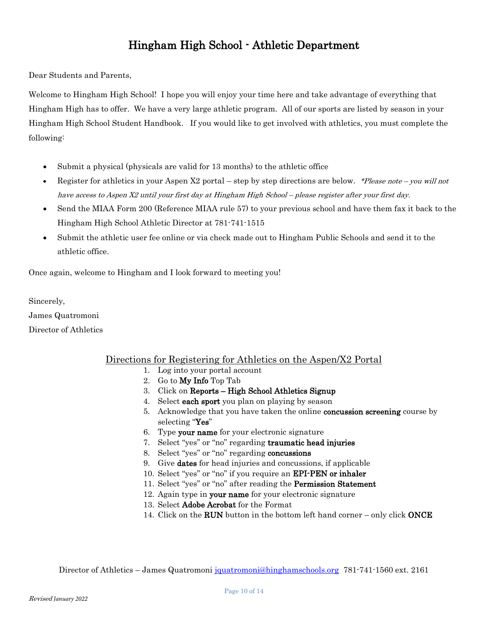## Hingham High School - Athletic Department

Dear Students and Parents,

Welcome to Hingham High School! I hope you will enjoy your time here and take advantage of everything that Hingham High has to offer. We have a very large athletic program. All of our sports are listed by season in your Hingham High School Student Handbook. If you would like to get involved with athletics, you must complete the following:

- Submit a physical (physicals are valid for 13 months) to the athletic office
- Register for athletics in your Aspen X2 portal step by step directions are below. \*Please note you will not have access to Aspen X2 until your first day at Hingham High School – please register after your first day.
- Send the MIAA Form 200 (Reference MIAA rule 57) to your previous school and have them fax it back to the Hingham High School Athletic Director at 781-741-1515
- Submit the athletic user fee online or via check made out to Hingham Public Schools and send it to the athletic office.

Once again, welcome to Hingham and I look forward to meeting you!

Sincerely,

James Quatromoni

Director of Athletics

### Directions for Registering for Athletics on the Aspen/X2 Portal

- 1. Log into your portal account
- 2. Go to My Info Top Tab
- 3. Click on Reports High School Athletics Signup
- 4. Select each sport you plan on playing by season
- 5. Acknowledge that you have taken the online concussion screening course by selecting "Yes"
- 6. Type your name for your electronic signature
- 7. Select "yes" or "no" regarding traumatic head injuries
- 8. Select "yes" or "no" regarding concussions
- 9. Give dates for head injuries and concussions, if applicable
- 10. Select "yes" or "no" if you require an EPI-PEN or inhaler
- 11. Select "yes" or "no" after reading the Permission Statement
- 12. Again type in your name for your electronic signature
- 13. Select Adobe Acrobat for the Format
- 14. Click on the **RUN** button in the bottom left hand corner only click **ONCE**

Director of Athletics – James Quatromoni [jquatromoni@hinghamschools.org](mailto:jquatromoni@hinghamschools.org) 781-741-1560 ext. 2161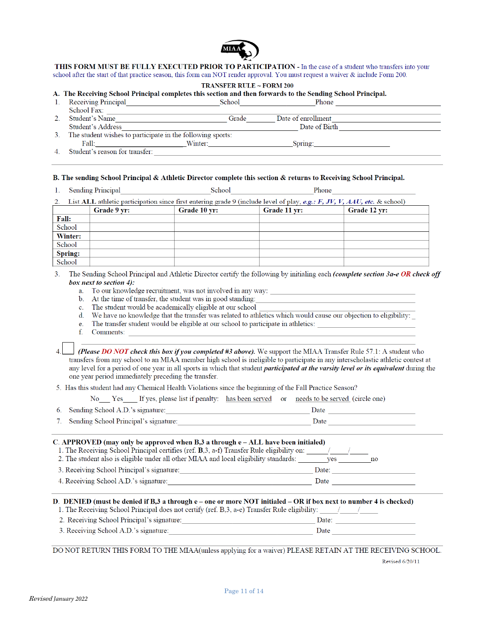

THIS FORM MUST BE FULLY EXECUTED PRIOR TO PARTICIPATION - In the case of a student who transfers into your school after the start of that practice season, this form can NOT render approval. You must request a waiver & include Form 200.

#### **TRANSFER RULE ~ FORM 200**

#### A. The Receiving School Principal completes this section and then forwards to the Sending School Principal.

| Receiving Principal | School                                                     | Phone              |  |
|---------------------|------------------------------------------------------------|--------------------|--|
| School Fax:         |                                                            |                    |  |
| Student's Name      | Grade                                                      | Date of enrollment |  |
| Student's Address   |                                                            | Date of Birth      |  |
|                     | The student wishes to participate in the following sports: |                    |  |
| Fall:               | Winter:                                                    | Spring:            |  |

 $\overline{4}$ . Student's reason for transfer:

#### B. The sending School Principal & Athletic Director complete this section & returns to Receiving School Principal.

| <b>CONTINUES</b><br>. . | <b>Sending Principal</b> | School | Phone |  |
|-------------------------|--------------------------|--------|-------|--|
|                         |                          |        |       |  |

|         | Grade 9 vr: | Grade 10 yr: | Grade 11 yr: | Grade 12 vr: |
|---------|-------------|--------------|--------------|--------------|
| Fall:   |             |              |              |              |
| School  |             |              |              |              |
| Winter: |             |              |              |              |
| School  |             |              |              |              |
| Spring: |             |              |              |              |
| School  |             |              |              |              |

The Sending School Principal and Athletic Director certify the following by initialing each (complete section 3a-e OR check off  $3<sub>1</sub>$ box next to section 4):

a. To our knowledge recruitment, was not involved in any way:

- At the time of transfer, the student was in good standing:  $\mathbf{b}$ .
- $\mathbf{c}$ . The student would be academically eligible at our school

We have no knowledge that the transfer was related to athletics which would cause our objection to eligibility:  $d_{\cdot}$ 

The transfer student would be eligible at our school to participate in athletics:  $\mathbf{e}$ .

 $f$ Comments:

(Please DO NOT check this box if you completed #3 above). We support the MIAA Transfer Rule 57.1: A student who transfers from any school to an MIAA member high school is ineligible to participate in any interscholastic athletic contest at any level for a period of one year in all sports in which that student *participated at the varsity level or its equivalent* during the one year period immediately preceding the transfer.

5. Has this student had any Chemical Health Violations since the beginning of the Fall Practice Season?

|                                     |  | No Yes If yes, please list if penalty: has been served or needs to be served (circle one) |
|-------------------------------------|--|-------------------------------------------------------------------------------------------|
| 6. Sending School A.D.'s signature: |  | Date                                                                                      |
|                                     |  |                                                                                           |

| 7. Sending School Principal's signature: |  |
|------------------------------------------|--|
|                                          |  |

#### C. APPROVED (may only be approved when  $B<sub>3</sub>$  a through  $e$  – ALL have been initialed)

| 1. The Receiving School Principal certifies (ref. <b>B</b> , 3, a-f) Transfer Rule eligibility on: |           |
|----------------------------------------------------------------------------------------------------|-----------|
| 2. The student also is eligible under all other MIAA and local eligibility standards:              | ves<br>no |
| 3. Receiving School Principal's signature:                                                         | Date:     |
| 4. Receiving School A.D.'s signature:                                                              | Date      |
|                                                                                                    |           |

#### D. DENIED (must be denied if B,3 a through e - one or more NOT initialed - OR if box next to number 4 is checked)

|                                            | 1. The Receiving School Principal does not certify (ref. B, 3, a-e) Transfer Rule eligibility: $\frac{1}{2}$ |  |
|--------------------------------------------|--------------------------------------------------------------------------------------------------------------|--|
| 2. Receiving School Principal's signature: | Date:                                                                                                        |  |

| 3. Receiving School A.D.'s signature: |  |  |
|---------------------------------------|--|--|
|                                       |  |  |

DO NOT RETURN THIS FORM TO THE MIAA(unless applying for a waiver) PLEASE RETAIN AT THE RECEIVING SCHOOL.

Revised 6/20/11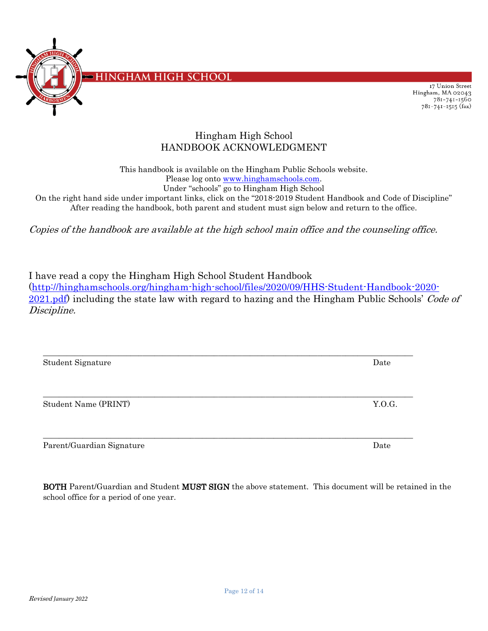

17 Union Street Hingham, MA 02043  $781 - 741 - 1560$ 781-741-1515 (fax)

### Hingham High School HANDBOOK ACKNOWLEDGMENT

This handbook is available on the Hingham Public Schools website. Please log onto [www.hinghamschools.com.](http://www.hinghamschools.com/) Under "schools" go to Hingham High School

On the right hand side under important links, click on the "2018-2019 Student Handbook and Code of Discipline" After reading the handbook, both parent and student must sign below and return to the office.

Copies of the handbook are available at the high school main office and the counseling office.

I have read a copy the Hingham High School Student Handbook [\(http://hinghamschools.org/hingham-high-school/files/2020/09/HHS-Student-Handbook-2020-](http://hinghamschools.org/hingham-high-school/files/2020/09/HHS-Student-Handbook-2020-2021.pdf) [2021.pdf\)](http://hinghamschools.org/hingham-high-school/files/2020/09/HHS-Student-Handbook-2020-2021.pdf) including the state law with regard to hazing and the Hingham Public Schools' Code of Discipline.

\_\_\_\_\_\_\_\_\_\_\_\_\_\_\_\_\_\_\_\_\_\_\_\_\_\_\_\_\_\_\_\_\_\_\_\_\_\_\_\_\_\_\_\_\_\_\_\_\_\_\_\_\_\_\_\_\_\_\_\_\_\_\_\_\_\_\_\_\_\_\_\_\_\_\_\_\_\_\_\_\_\_\_\_\_\_\_\_\_\_\_\_\_

\_\_\_\_\_\_\_\_\_\_\_\_\_\_\_\_\_\_\_\_\_\_\_\_\_\_\_\_\_\_\_\_\_\_\_\_\_\_\_\_\_\_\_\_\_\_\_\_\_\_\_\_\_\_\_\_\_\_\_\_\_\_\_\_\_\_\_\_\_\_\_\_\_\_\_\_\_\_\_\_\_\_\_\_\_\_\_\_\_\_\_\_\_

\_\_\_\_\_\_\_\_\_\_\_\_\_\_\_\_\_\_\_\_\_\_\_\_\_\_\_\_\_\_\_\_\_\_\_\_\_\_\_\_\_\_\_\_\_\_\_\_\_\_\_\_\_\_\_\_\_\_\_\_\_\_\_\_\_\_\_\_\_\_\_\_\_\_\_\_\_\_\_\_\_\_\_\_\_\_\_\_\_\_\_\_\_

Student Signature Date

Student Name (PRINT) Student Name (PRINT)

Parent/Guardian Signature Date Date of the Date of the Date of the Date of the Date of the Date of the Date of the Date of the Date of the Date of the Date of the Date of the Date of the Date of the Date of the Date of the

BOTH Parent/Guardian and Student MUST SIGN the above statement. This document will be retained in the school office for a period of one year.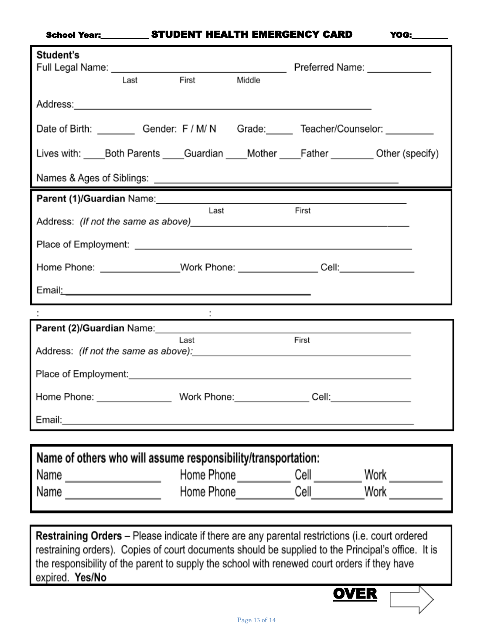### School Year:\_\_\_\_\_\_\_\_\_\_\_\_ STUDENT HEALTH EMERGENCY CARD YOG:\_

| Student's                                                                                                                                                                                                                                                                                                    | Last | First       | Middle | Preferred Name: Name:                                                                                                 |  |  |
|--------------------------------------------------------------------------------------------------------------------------------------------------------------------------------------------------------------------------------------------------------------------------------------------------------------|------|-------------|--------|-----------------------------------------------------------------------------------------------------------------------|--|--|
| Address: Address: Address: Address: Address: Address: Address: Address: Address: Address: Address: A                                                                                                                                                                                                         |      |             |        |                                                                                                                       |  |  |
| Date of Birth: Gender: F / M/ N Grade: Teacher/Counselor:                                                                                                                                                                                                                                                    |      |             |        |                                                                                                                       |  |  |
| Lives with: Both Parents Guardian Mother Father Cheric Other (specify)                                                                                                                                                                                                                                       |      |             |        |                                                                                                                       |  |  |
|                                                                                                                                                                                                                                                                                                              |      |             |        |                                                                                                                       |  |  |
| Parent (1)/Guardian Name: Mannell Annual Communication of the Communication of the Communication of the Communication of the Communication of the Communication of the Communication of the Communication of the Communication                                                                               |      |             |        |                                                                                                                       |  |  |
| Last<br>First                                                                                                                                                                                                                                                                                                |      |             |        |                                                                                                                       |  |  |
|                                                                                                                                                                                                                                                                                                              |      |             |        |                                                                                                                       |  |  |
| Home Phone: ________________Work Phone: _________________Cell: _________________                                                                                                                                                                                                                             |      |             |        |                                                                                                                       |  |  |
| Email: <u>Alexander Alexander Alexander Alexander Alexander Alexander Alexander Alexander Alexander Alexander Alexander</u>                                                                                                                                                                                  |      |             |        |                                                                                                                       |  |  |
|                                                                                                                                                                                                                                                                                                              |      |             |        | <u> 1989 - Johann Barbara, martin a bhann an t-Alban an t-Alban an t-Alban an t-Alban an t-Alban an t-Alban an t-</u> |  |  |
|                                                                                                                                                                                                                                                                                                              |      |             |        |                                                                                                                       |  |  |
| First<br>Last                                                                                                                                                                                                                                                                                                |      |             |        |                                                                                                                       |  |  |
| Place of Employment: Note that the state of the state of the state of the state of the state of the state of the state of the state of the state of the state of the state of the state of the state of the state of the state                                                                               |      |             |        |                                                                                                                       |  |  |
| Home Phone:                                                                                                                                                                                                                                                                                                  |      | Work Phone: |        | Cell:                                                                                                                 |  |  |
| Email: 2008. 2009. 2009. 2009. 2012. 2014. 2015. 2016. 2017. 2018. 2019. 2016. 2017. 2018. 2019. 2017. 2017. 20                                                                                                                                                                                              |      |             |        |                                                                                                                       |  |  |
|                                                                                                                                                                                                                                                                                                              |      |             |        |                                                                                                                       |  |  |
| Name of others who will assume responsibility/transportation:                                                                                                                                                                                                                                                |      |             |        |                                                                                                                       |  |  |
| Name ____________________                                                                                                                                                                                                                                                                                    |      |             |        | Home Phone ______________ Cell ____________ Work ___________                                                          |  |  |
| Name $\frac{1}{2}$                                                                                                                                                                                                                                                                                           |      |             |        | Home Phone ____________Cell____________Work ___________                                                               |  |  |
|                                                                                                                                                                                                                                                                                                              |      |             |        |                                                                                                                       |  |  |
| <b>Restraining Orders</b> – Please indicate if there are any parental restrictions (i.e. court ordered<br>restraining orders). Copies of court documents should be supplied to the Principal's office. It is<br>the responsibility of the parent to supply the school with renewed court orders if they have |      |             |        |                                                                                                                       |  |  |

expired. Yes/No

**OVER**